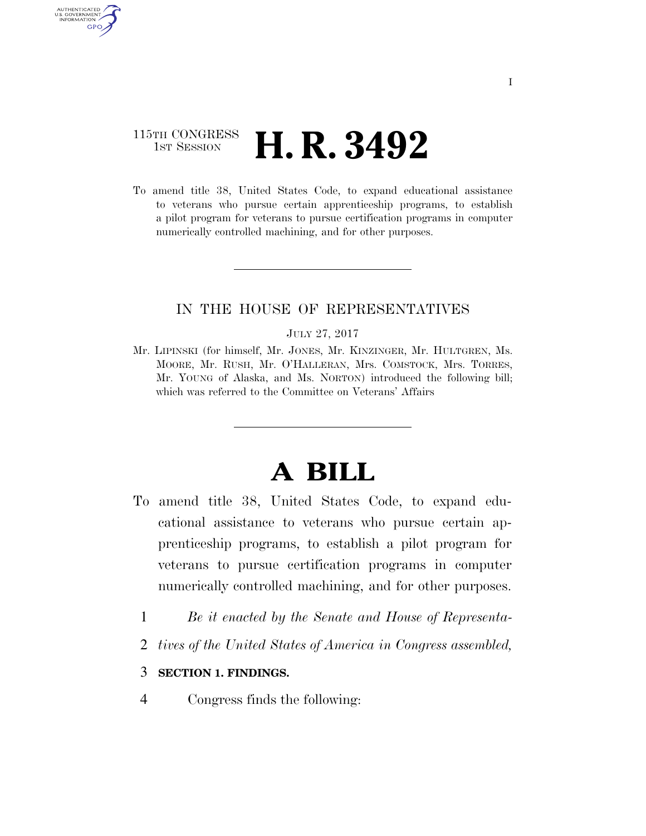## 115TH CONGRESS **1st Session H. R. 3492**

AUTHENTICATED U.S. GOVERNMENT GPO

> To amend title 38, United States Code, to expand educational assistance to veterans who pursue certain apprenticeship programs, to establish a pilot program for veterans to pursue certification programs in computer numerically controlled machining, and for other purposes.

## IN THE HOUSE OF REPRESENTATIVES

#### JULY 27, 2017

Mr. LIPINSKI (for himself, Mr. JONES, Mr. KINZINGER, Mr. HULTGREN, Ms. MOORE, Mr. RUSH, Mr. O'HALLERAN, Mrs. COMSTOCK, Mrs. TORRES, Mr. YOUNG of Alaska, and Ms. NORTON) introduced the following bill; which was referred to the Committee on Veterans' Affairs

# **A BILL**

- To amend title 38, United States Code, to expand educational assistance to veterans who pursue certain apprenticeship programs, to establish a pilot program for veterans to pursue certification programs in computer numerically controlled machining, and for other purposes.
	- 1 *Be it enacted by the Senate and House of Representa-*
	- 2 *tives of the United States of America in Congress assembled,*

## 3 **SECTION 1. FINDINGS.**

4 Congress finds the following: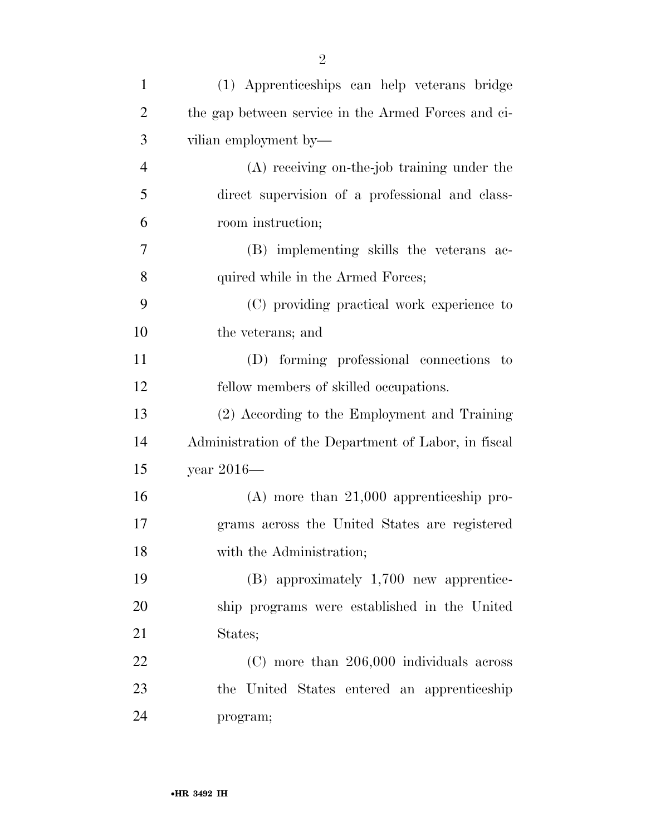| $\mathbf{1}$   | (1) Apprenticeships can help veterans bridge         |
|----------------|------------------------------------------------------|
| $\overline{2}$ | the gap between service in the Armed Forces and ci-  |
| 3              | vilian employment by—                                |
| $\overline{4}$ | $(A)$ receiving on-the-job training under the        |
| 5              | direct supervision of a professional and class-      |
| 6              | room instruction;                                    |
| $\overline{7}$ | (B) implementing skills the veterans ac-             |
| 8              | quired while in the Armed Forces;                    |
| 9              | (C) providing practical work experience to           |
| 10             | the veterans; and                                    |
| 11             | (D) forming professional connections to              |
| 12             | fellow members of skilled occupations.               |
| 13             | (2) According to the Employment and Training         |
| 14             | Administration of the Department of Labor, in fiscal |
| 15             | year $2016-$                                         |
| 16             | $(A)$ more than 21,000 apprenticeship pro-           |
| 17             | grams across the United States are registered        |
| 18             | with the Administration;                             |
| 19             | $(B)$ approximately 1,700 new apprentice-            |
| 20             | ship programs were established in the United         |
| 21             | States;                                              |
| 22             | $(C)$ more than 206,000 individuals across           |
| 23             | the United States entered an apprenticeship          |
| 24             | program;                                             |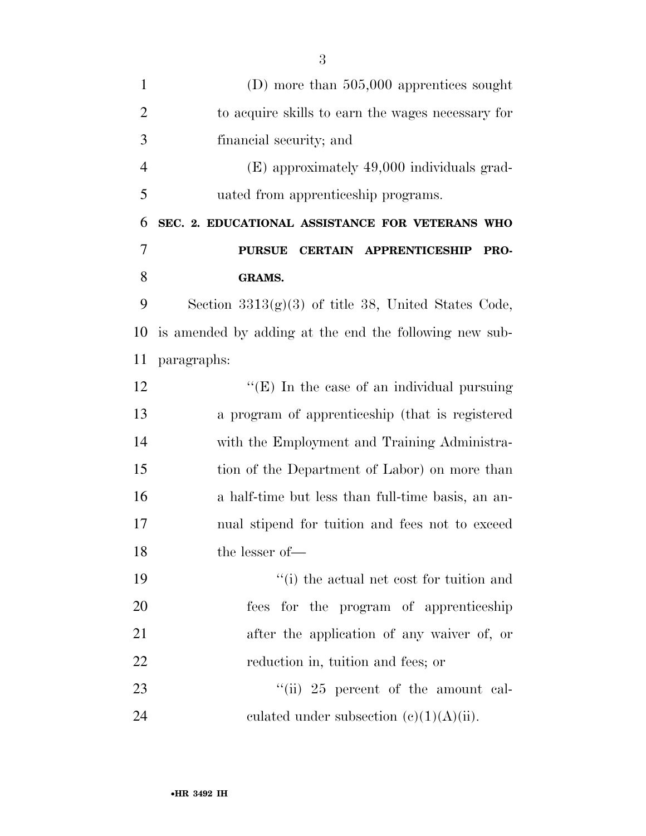| $\mathbf{1}$   | (D) more than $505,000$ apprentices sought             |
|----------------|--------------------------------------------------------|
| $\overline{2}$ | to acquire skills to earn the wages necessary for      |
| 3              | financial security; and                                |
| $\overline{4}$ | (E) approximately 49,000 individuals grad-             |
| 5              | uated from apprenticeship programs.                    |
| 6              | SEC. 2. EDUCATIONAL ASSISTANCE FOR VETERANS WHO        |
| $\overline{7}$ | <b>PURSUE</b><br><b>CERTAIN APPRENTICESHIP</b><br>PRO- |
| 8              | <b>GRAMS.</b>                                          |
| 9              | Section $3313(g)(3)$ of title 38, United States Code,  |
| 10             | is amended by adding at the end the following new sub- |
| 11             | paragraphs:                                            |
| 12             | " $(E)$ In the case of an individual pursuing          |
| 13             | a program of apprenticeship (that is registered        |
| 14             | with the Employment and Training Administra-           |
| 15             | tion of the Department of Labor) on more than          |
| 16             | a half-time but less than full-time basis, an an-      |
| 17             | nual stipend for tuition and fees not to exceed        |
| 18             | the lesser of-                                         |
| 19             | "(i) the actual net cost for tuition and               |
| 20             | fees for the program of apprenticeship                 |
| 21             | after the application of any waiver of, or             |
|                |                                                        |
| 22             | reduction in, tuition and fees; or                     |
| 23             | "(ii) $25$ percent of the amount cal-                  |
| 24             | culated under subsection $(c)(1)(A)(ii)$ .             |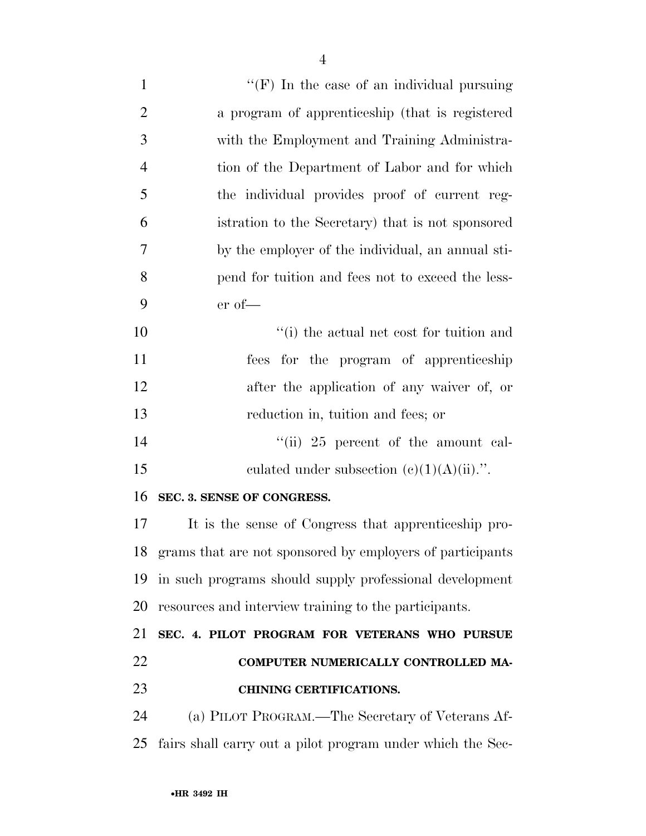| $\mathbf{1}$   | "(F) In the case of an individual pursuing                   |
|----------------|--------------------------------------------------------------|
| $\overline{2}$ | a program of apprenticeship (that is registered              |
| 3              | with the Employment and Training Administra-                 |
| $\overline{4}$ | tion of the Department of Labor and for which                |
| 5              | the individual provides proof of current reg-                |
| 6              | istration to the Secretary) that is not sponsored            |
| $\tau$         | by the employer of the individual, an annual sti-            |
| 8              | pend for tuition and fees not to exceed the less-            |
| 9              | $er of$ —                                                    |
| 10             | "(i) the actual net cost for tuition and                     |
| 11             | fees for the program of apprenticeship                       |
| 12             | after the application of any waiver of, or                   |
| 13             | reduction in, tuition and fees; or                           |
| 14             | "(ii) $25$ percent of the amount cal-                        |
| 15             | culated under subsection $(c)(1)(A)(ii)$ .".                 |
| 16             | SEC. 3. SENSE OF CONGRESS.                                   |
| 17             | It is the sense of Congress that apprenticeship pro-         |
|                | 18 grams that are not sponsored by employers of participants |
| 19             | in such programs should supply professional development      |
| 20             | resources and interview training to the participants.        |
| 21             | SEC. 4. PILOT PROGRAM FOR VETERANS WHO PURSUE                |
| 22             | COMPUTER NUMERICALLY CONTROLLED MA-                          |
| 23             | <b>CHINING CERTIFICATIONS.</b>                               |
| 24             | (a) PILOT PROGRAM.—The Secretary of Veterans Af-             |
| 25             | fairs shall carry out a pilot program under which the Sec-   |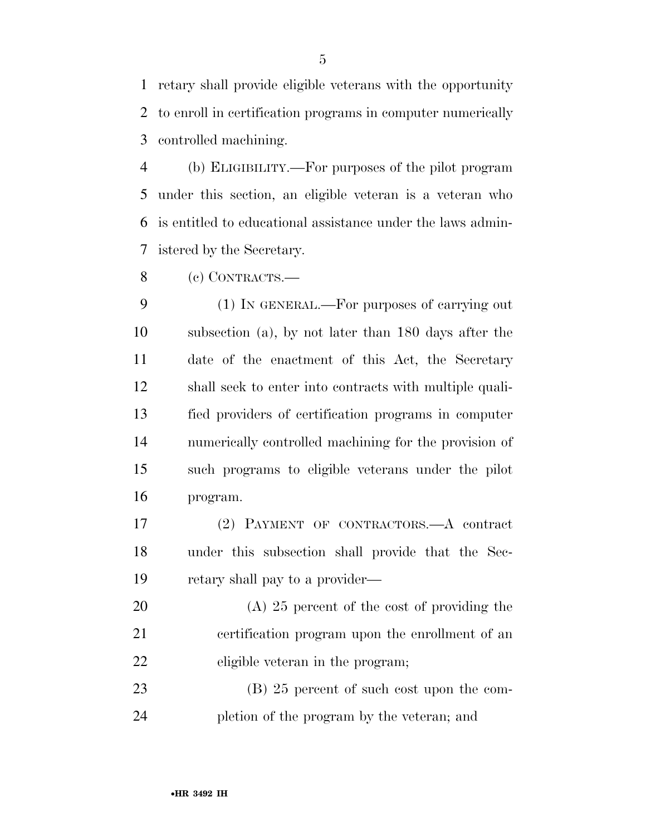retary shall provide eligible veterans with the opportunity to enroll in certification programs in computer numerically controlled machining.

 (b) ELIGIBILITY.—For purposes of the pilot program under this section, an eligible veteran is a veteran who is entitled to educational assistance under the laws admin-istered by the Secretary.

(c) CONTRACTS.—

 (1) IN GENERAL.—For purposes of carrying out subsection (a), by not later than 180 days after the date of the enactment of this Act, the Secretary shall seek to enter into contracts with multiple quali- fied providers of certification programs in computer numerically controlled machining for the provision of such programs to eligible veterans under the pilot program.

 (2) PAYMENT OF CONTRACTORS.—A contract under this subsection shall provide that the Sec-retary shall pay to a provider—

 (A) 25 percent of the cost of providing the certification program upon the enrollment of an eligible veteran in the program;

23 (B) 25 percent of such cost upon the com-pletion of the program by the veteran; and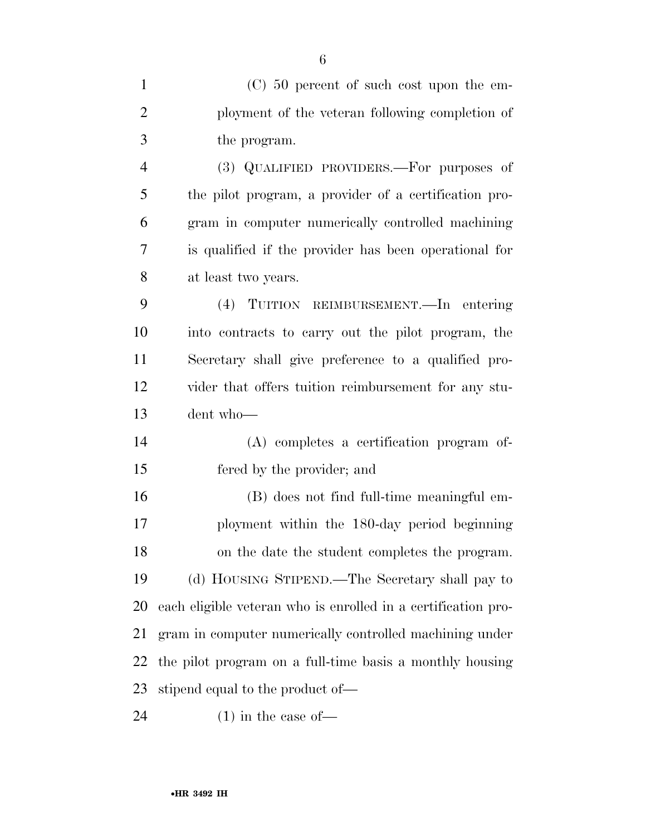(C) 50 percent of such cost upon the em- ployment of the veteran following completion of the program.

 (3) QUALIFIED PROVIDERS.—For purposes of the pilot program, a provider of a certification pro- gram in computer numerically controlled machining is qualified if the provider has been operational for at least two years.

 (4) TUITION REIMBURSEMENT.—In entering into contracts to carry out the pilot program, the Secretary shall give preference to a qualified pro- vider that offers tuition reimbursement for any stu-dent who—

 (A) completes a certification program of-fered by the provider; and

 (B) does not find full-time meaningful em- ployment within the 180-day period beginning on the date the student completes the program. (d) HOUSING STIPEND.—The Secretary shall pay to each eligible veteran who is enrolled in a certification pro- gram in computer numerically controlled machining under the pilot program on a full-time basis a monthly housing stipend equal to the product of—

24  $(1)$  in the case of —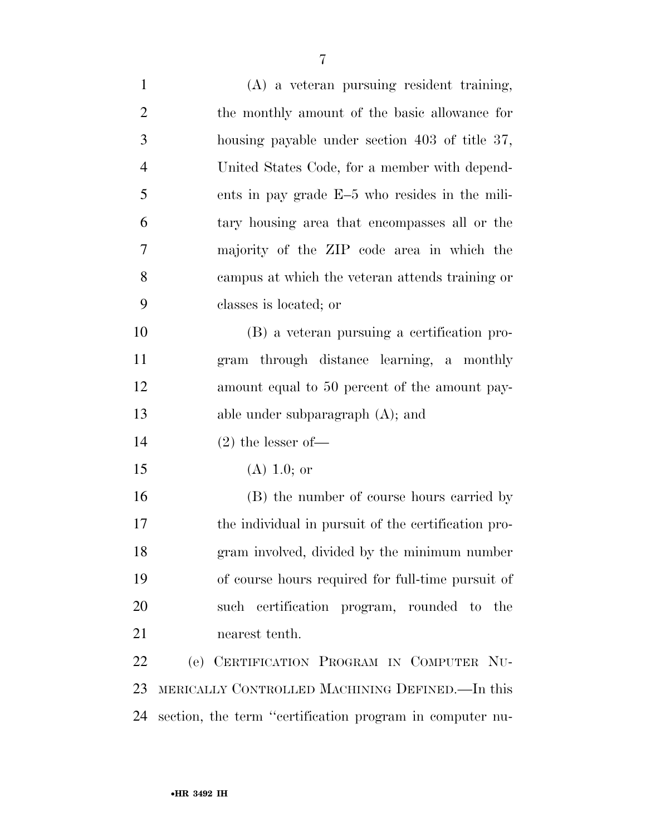| $\mathbf{1}$   | (A) a veteran pursuing resident training,           |
|----------------|-----------------------------------------------------|
| $\overline{2}$ | the monthly amount of the basic allowance for       |
| 3              | housing payable under section 403 of title 37,      |
| $\overline{4}$ | United States Code, for a member with depend-       |
| 5              | ents in pay grade E-5 who resides in the mili-      |
| 6              | tary housing area that encompasses all or the       |
| 7              | majority of the ZIP code area in which the          |
| 8              | campus at which the veteran attends training or     |
| 9              | classes is located; or                              |
| 10             | (B) a veteran pursuing a certification pro-         |
| 11             | gram through distance learning, a monthly           |
| 12             | amount equal to 50 percent of the amount pay-       |
|                |                                                     |
| 13             | able under subparagraph $(A)$ ; and                 |
| 14             | $(2)$ the lesser of-                                |
| 15             | $(A)$ 1.0; or                                       |
| 16             | (B) the number of course hours carried by           |
| 17             | the individual in pursuit of the certification pro- |
| 18             | gram involved, divided by the minimum number        |
| 19             | of course hours required for full-time pursuit of   |
| 20             | such certification program, rounded to the          |
| 21             | nearest tenth.                                      |
| 22             | (e) CERTIFICATION PROGRAM IN COMPUTER NU-           |
| 23             | MERICALLY CONTROLLED MACHINING DEFINED.—In this     |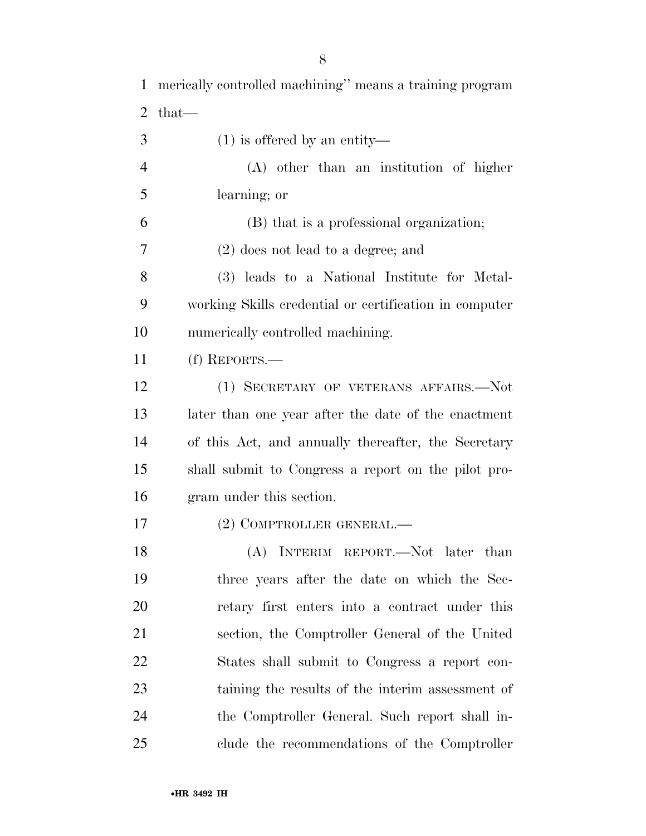merically controlled machining'' means a training program that— (1) is offered by an entity— (A) other than an institution of higher learning; or (B) that is a professional organization; (2) does not lead to a degree; and (3) leads to a National Institute for Metal- working Skills credential or certification in computer numerically controlled machining. (f) REPORTS.— (1) SECRETARY OF VETERANS AFFAIRS.—Not later than one year after the date of the enactment of this Act, and annually thereafter, the Secretary shall submit to Congress a report on the pilot pro- gram under this section. (2) COMPTROLLER GENERAL.— 18 (A) INTERIM REPORT.—Not later than three years after the date on which the Sec- retary first enters into a contract under this section, the Comptroller General of the United States shall submit to Congress a report con- taining the results of the interim assessment of the Comptroller General. Such report shall in-clude the recommendations of the Comptroller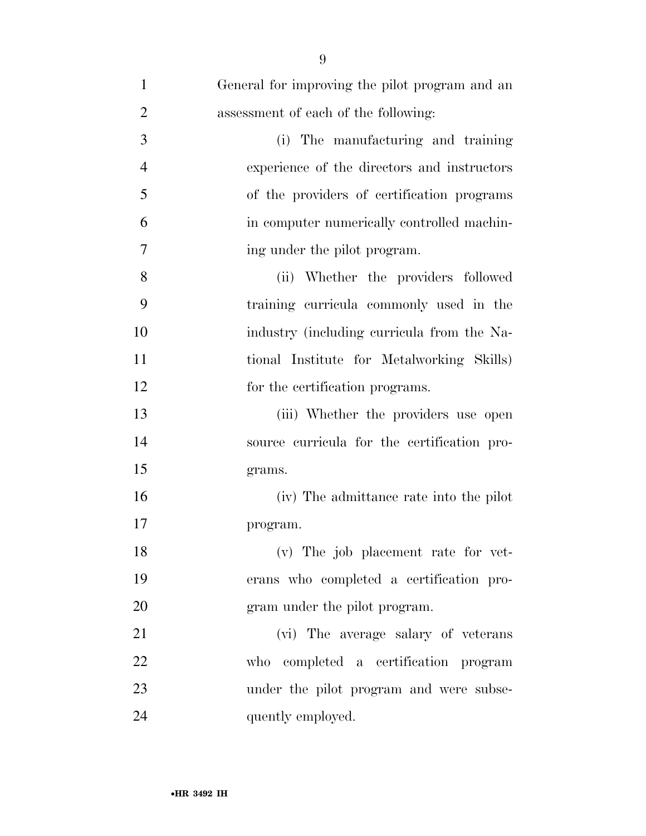| $\mathbf{1}$   | General for improving the pilot program and an |
|----------------|------------------------------------------------|
| $\overline{2}$ | assessment of each of the following:           |
| 3              | (i) The manufacturing and training             |
| $\overline{4}$ | experience of the directors and instructors    |
| 5              | of the providers of certification programs     |
| 6              | in computer numerically controlled machin-     |
| 7              | ing under the pilot program.                   |
| 8              | (ii) Whether the providers followed            |
| 9              | training curricula commonly used in the        |
| 10             | industry (including curricula from the Na-     |
| 11             | tional Institute for Metalworking Skills)      |
| 12             | for the certification programs.                |
| 13             | (iii) Whether the providers use open           |
| 14             | source curricula for the certification pro-    |
| 15             | grams.                                         |
| 16             | (iv) The admittance rate into the pilot        |
| 17             | program.                                       |
| 18             | (v) The job placement rate for vet-            |
| 19             | erans who completed a certification pro-       |
| 20             | gram under the pilot program.                  |
| 21             | (vi) The average salary of veterans            |
| 22             | who completed a certification program          |
| 23             | under the pilot program and were subse-        |
| 24             | quently employed.                              |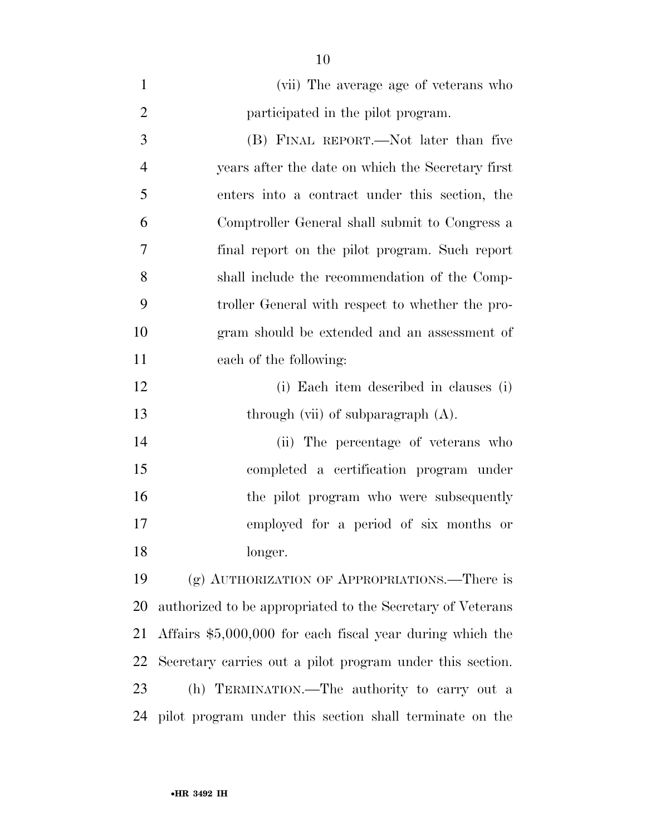| $\mathbf{1}$   | (vii) The average age of veterans who                      |
|----------------|------------------------------------------------------------|
| $\overline{2}$ | participated in the pilot program.                         |
| 3              | (B) FINAL REPORT.—Not later than five                      |
| $\overline{4}$ | years after the date on which the Secretary first          |
| 5              | enters into a contract under this section, the             |
| 6              | Comptroller General shall submit to Congress a             |
| 7              | final report on the pilot program. Such report             |
| 8              | shall include the recommendation of the Comp-              |
| 9              | troller General with respect to whether the pro-           |
| 10             | gram should be extended and an assessment of               |
| 11             | each of the following:                                     |
| 12             | (i) Each item described in clauses (i)                     |
|                |                                                            |
| 13             | through (vii) of subparagraph $(A)$ .                      |
| 14             | (ii) The percentage of veterans who                        |
| 15             | completed a certification program under                    |
| 16             | the pilot program who were subsequently                    |
| 17             | employed for a period of six months or                     |
| 18             | longer.                                                    |
| 19             | (g) AUTHORIZATION OF APPROPRIATIONS.—There is              |
| <b>20</b>      | authorized to be appropriated to the Secretary of Veterans |
| 21             | Affairs $$5,000,000$ for each fiscal year during which the |
| 22             | Secretary carries out a pilot program under this section.  |
| 23             | (h) TERMINATION.—The authority to carry out a              |